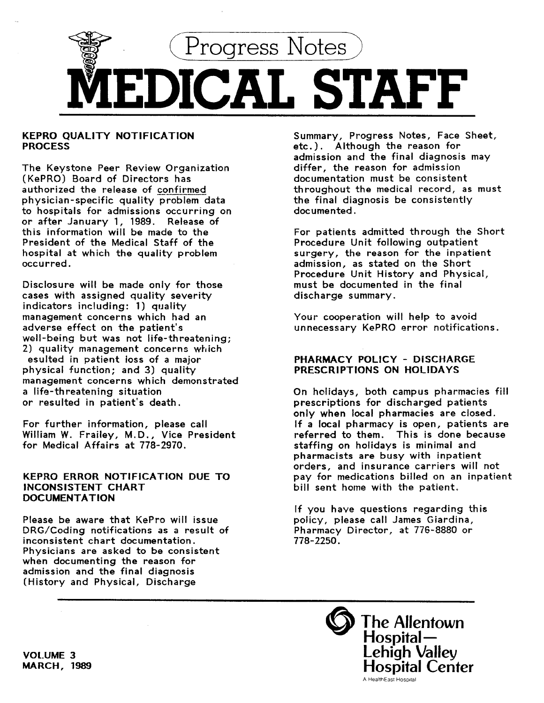

# KEPRO QUALITY NOTIFICATION **PROCESS**

The Keystone Peer Review Organization (KePRO) Board of Directors has authorized the release of confirmed physician-specific quality problem data to hospitals for admissions occurring on or after January 1, 1989. Release of this information will be made to the President of the Medical Staff of the hospital at which the quality problem occurred.

Disclosure will be made only for those cases with assigned quality severity indicators including: 1) quality management concerns which had an adverse effect on the patient's well-being but was not life-threatening; 2) quality management concerns which esulted in patient loss of a major physical function; and 3) quality management concerns which demonstrated a life-threatening situation or resulted in patient's death.

For further information, please call William W. Frailey, M.D., Vice President for Medical Affairs at 778-2970.

## KEPRO ERROR NOTIFICATION DUE TO INCONSISTENT CHART **DOCUMENTATION**

Please be aware that KePro will issue DRG/Coding notifications as a result of inconsistent chart documentation. Physicians are asked to be consistent when documenting the reason for admission and the final diagnosis (History and Physical, Discharge

Summary, Progress Notes, Face Sheet, etc.). Although the reason for admission and the final diagnosis may differ, the reason for admission documentation must be consistent throughout the medical record, as must the final diagnosis be consistently documented.

For patients admitted through the Short Procedure Unit following outpatient surgery, the reason for the inpatient admission, as stated on the Short Procedure Unit History and Physical, must be documented in the final discharge summary.

Your cooperation will help to avoid unnecessary KePRO error notifications.

# PHARMACY POLICY - DISCHARGE PRESCRIPTIONS ON HOLIDAYS

On holidays, both campus pharmacies fill prescriptions for discharged patients only when local pharmacies are closed. If a local pharmacy is open, patients are referred to them. This is done because staffing on holidays is minimal and pharmacists are busy with inpatient orders, and insurance carriers will not pay for medications billed on an inpatient bill sent home with the patient.

If you have questions regarding this policy, please call James Giardina, Pharmacy Director, at 776-8880 or 778-2250.



VOLUME 3 MARCH, 1989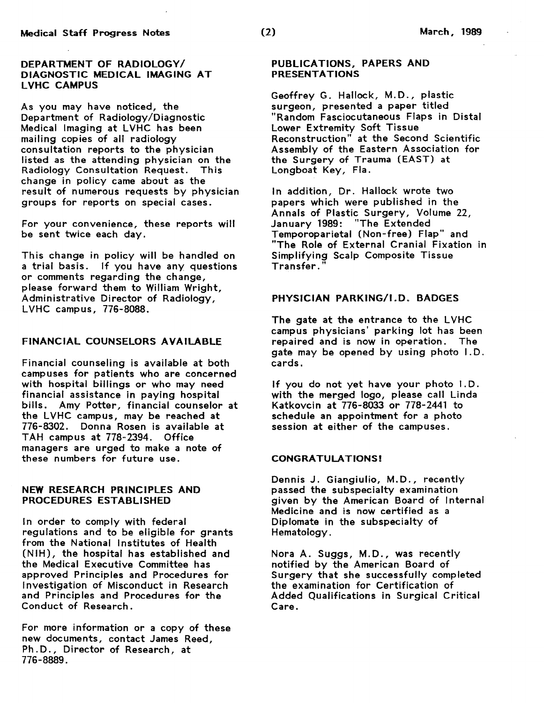## DEPARTMENT OF RADIOLOGY/ DIAGNOSTIC MEDICAL IMAGING AT LVHC CAMPUS

As you may have noticed, the Department of Radiology/Diagnostic Medical Imaging at LVHC has been mailing copies of all radiology consultation reports to the physician listed as the attending physician on the Radiology Consultation Request. This change in policy came about as the result of numerous requests by physician groups for reports on special cases.

For your convenience, these reports will be sent twice each day.

This change in policy will be handled on a trial basis. If you have any questions or comments regarding the change, please forward them to William Wright, Administrative Director of Radiology, LVHC campus, 776-8088.

# FINANCIAL COUNSELORS AVAILABLE

Financial counseling is available at both campuses for patients who are concerned with hospital billings or who may need financial assistance in paying hospital bills. Amy Potter, financial counselor at the LVHC campus, may be reached at 776-8302. Donna Rosen is available at TAH campus at 778-2394. Office managers are urged to make a note of these numbers for future use.

### NEW RESEARCH PRINCIPLES AND PROCEDURES ESTABLISHED

In order to comply with federal regulations and to be eligible for grants from the National Institutes of Health (NIH), the hospital has established and the Medical Executive Committee has approved Principles and Procedures for Investigation of Misconduct in Research and Principles and Procedures for the Conduct of Research.

For more information or a copy of these new documents, contact James Reed, Ph.D., Director of Research, at 776-8889.

# PUBLICATIONS, PAPERS AND PRESENTATIONS

Geoffrey G. Hallock, M.D., plastic surgeon, presented a paper titled "Random Fasciocutaneous Flaps in Distal Lower Extremity Soft Tissue Reconstruction" at the Second Scientific Assembly of the Eastern Association for the Surgery of Trauma (EAST) at Longboat Key, Fla.

In addition, Dr. Hallock wrote two papers which were published in the Annals of Plastic Surgery, Volume 22, January 1989: "The Extended Temporoparietal (Non-free) Flap" and "The Role of External Cranial Fixation in Simplifying Scalp Composite Tissue Transfer."

## PHYSICIAN PARKING/I.D. BADGES

The gate at the entrance to the LVHC campus physicians' parking lot has been repaired and is now in operation. The gate may be opened by using photo I.D. cards.

If you do not yet have your photo I.D. with the merged logo, please call Linda Katkovcin at 776-8033 or 778-2441 to schedule an appointment for a photo session at either of the campuses.

### CONGRATULATIONS!

Dennis J. Giangiulio, M.D., recently passed the subspecialty examination given by the American Board of Internal Medicine and is now certified as a Diplomate in the subspecialty of Hematology.

Nora A. Suggs, M.D. , was recently notified by the American Board of Surgery that she successfully completed the examination for Certification of Added Qualifications in Surgical Critical Care.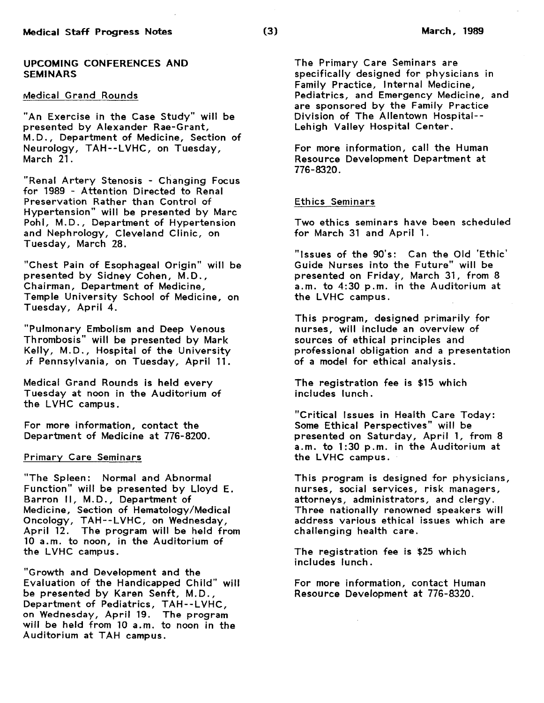## UPCOMING CONFERENCES AND **SEMINARS**

## Medical Grand Rounds

"An Exercise in the Case Study" will be presented by Alexander Rae-Grant, M.D., Department of Medicine, Section of Neurology, TAH--LVHC, on Tuesday, March 21.

"Renal Artery Stenosis - Changing Focus for 1989 - Attention Directed to Renal Preservation Rather than Control of Hypertension" will be presented by Marc Pohl, M.D., Department of Hypertension and Nephrology, Cleveland Clinic, on Tuesday, March 28.

"Chest Pain of Esophageal Origin" will be presented by Sidney Cohen, M.D., Chairman, Department of Medicine, Temple University School of Medicine, on Tuesday, April 4.

"Pulmonary Embolism and Deep Venous Thrombosis" will be presented by Mark Kelly, M.D., Hospital of the University *)f* Pennsylvania, on Tuesday, April 11.

Medical Grand Rounds is held every Tuesday at noon in the Auditorium of the LVHC campus.

For more information, contact the Department of Medicine at 776-8200.

### Primary Care Seminars

"The Spleen: Normal and Abnormal Function" will be presented by Lloyd E. Barron II, M.D., Department of Medicine, Section of Hematology/Medical Oncology, TAH--LVHC, on Wednesday, April 12. The program will be held from 10 a.m. to noon, in the Auditorium of the LVHC campus.

"Growth and Development and the Evaluation of the Handicapped Child" will be presented by Karen Senft, M.D., Department of Pediatrics, TAH-- L VHC, on Wednesday, April 19. The program will be held from 10 a.m. to noon in the Auditorium at TAH campus.

The Primary Care Seminars are specifically designed for physicians in Family Practice, Internal Medicine, Pediatrics, and Emergency Medicine, and are sponsored by the Family Practice Division of The Allentown Hospital-- Lehigh Valley Hospital Center.

For more information, call the Human Resource Development Department at 776-8320.

## Ethics Seminars

Two ethics seminars have been scheduled for March 31 and April 1.

"Issues of the 90's: Can the Old 'Ethic' Guide Nurses into the Future" will be presented on Friday, March 31, from 8 a.m. to 4:30 p.m. in the Auditorium at the LVHC campus.

This program, designed primarily for nurses, will include an overview of sources of ethical principles and professional obligation and a presentation of a model for ethical anaJysis.

The registration fee is \$15 which includes lunch.

"Critical Issues in Health Care Today: Some Ethical Perspectives" will be presented on Saturday, April 1, from 8 a.m. to 1:30 p.m. in the Auditorium at the LVHC campus.

This program is designed for physicians, nurses, social services, risk managers, attorneys, administrators, and clergy. Three nationally renowned speakers will address various ethical issues which are challenging health care.

The registration fee is \$25 which includes lunch.

For more information, contact Human Resource Development at 776-8320.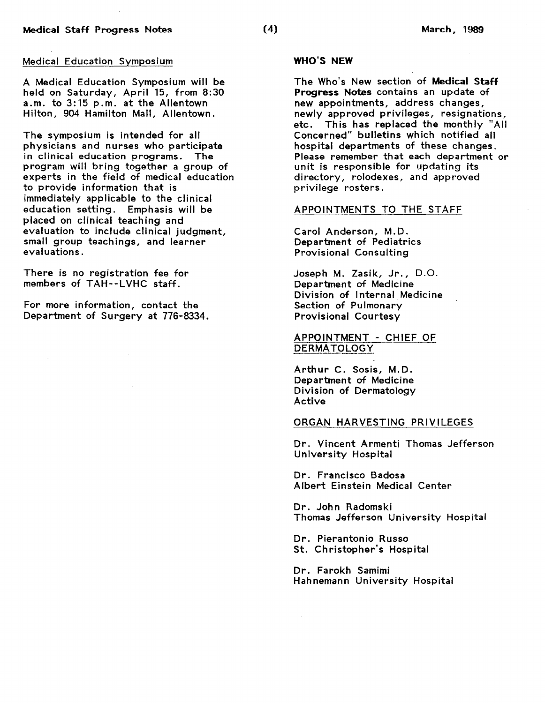A Medical Education Symposium will be held on Saturday, April 15, from 8:30 a.m. to 3:15 p.m. at the Allentown Hilton, 904 Hamilton Mall, Allentown.

The symposium is intended for all physicians and nurses who participate in clinical education programs. The program will bring together a group of experts in the field of medical education to provide information that is immediately applicable to the clinical education setting. Emphasis will be placed on clinical teaching and evaluation to include clinical judgment, small group teachings, and learner evaluations.

There is no registration fee for members of TAH--LVHC staff.

For more information, contact the Department of Surgery at 776-8334.

# WHO'S NEW

The Who's New section of Medical Staff Progress Notes contains an update of new appointments, address changes, newly approved privileges, resignations,<br>etc. This has replaced the monthly "All This has replaced the monthly "All Concerned" bulletins which notified all hospital departments of these changes. Please remember that each department or unit is responsible for updating its directory, rolodexes, and approved privilege rosters.

#### APPOINTMENTS TO THE STAFF

Carol Anderson, M.D. Department of Pediatrics Provisional Consulting

Joseph M. Zasik, Jr., D.O. Department of Medicine Division of Internal Medicine Section of Pulmonary Provisional Courtesy

APPOINTMENT - CHIEF OF DERMATOLOGY

Arthur C. Sosis, M.D. Department of Medicine Division of Dermatology Active

#### ORGAN HARVESTING PRIVILEGES

Dr. Vincent Armenti Thomas Jefferson University Hospital

Dr. Francisco Badosa Albert Einstein Medical Center

Dr. John Radomski Thomas Jefferson University Hospital

Dr. Pierantonio Russo St. Christopher's Hospital

Dr. Farokh Samimi Hahnemann University Hospital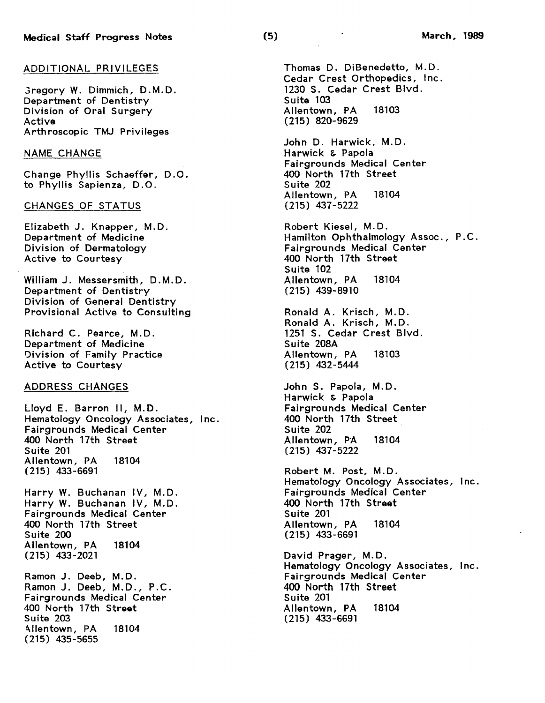### ADDITIONAL PRIVILEGES

Gregory W. Dimmich, D.M.D. Department of Dentistry Division of Oral Surgery Active Arthroscopic TMJ Privileges

## NAME CHANGE

Change Phyllis Schaeffer, D. 0. to Phyllis Sapienza, D.O.

## CHANGES OF STATUS

Elizabeth J. Knapper, M.D. Department of Medicine Division of Dermatology Active to Courtesy

William J. Messersmith, D.M.D. Department of Dentistry Division of General Dentistry Provisional Active to Consulting

Richard C. Pearce, M.D. Department of Medicine Oivision of Family Practice Active to Courtesy

## ADDRESS CHANGES

Lloyd E. Barron II, M.D. Hematology Oncology Associates, Inc. Fairgrounds Medical Center 400 North 17th Street Suite 201 Allentown, PA 18104 (215) 433-6691

Harry W. Buchanan IV, M.D. Harry W. Buchanan IV, M.D. Fairgrounds Medical Center 400 North 17th Street Suite 200 Allentown, PA 18104 (215) 433-2021

Ramon J. Deeb, M.D. Ramon J. Deeb, M.D., P.C. Fairgrounds Medical Center 400 North 17th Street Suite 203 Allentown, PA 18104 (215) 435-5655

Thomas D. DiBenedetto, M.D. Cedar Crest Orthopedics, Inc. 1230 S. Cedar Crest Blvd. Suite 103 Allentown, PA 18103 (215) 820-9629

John D. Harwick, M.D. Harwick & Papola Fairgrounds Medical Center 400 North 17th Street Suite 202 Allentown, PA 18104 (215) 437-5222

Robert Kiesel, M.D. Hamilton Ophthalmology Assoc., P.C. Fairgrounds Medical Center 400 North 17th Street Suite 102 Allentown, PA 18104 (215) 439-8910

Ronald A. Krisch, M.D. Ronald A. Krisch, M.D. 1251 S. Cedar Crest Blvd. Suite 208A Allentown, PA 18103 (215) 432-5444

John S. Papola, M.D. Harwick & Papola Fairgrounds Medical Center 400 North 17th Street Suite 202 Allentown, PA 18104 (215) 437-5222

Robert M. Post, M.D. Hematology Oncology Associates, Inc. Fairgrounds Medical Center 400 North 17th Street Suite 201 Allentown, PA 18104 (215) 433-6691

David Prager, M.D. Hematology Oncology Associates, Inc. Fairgrounds Medical Center 400 North 17th Street Suite 201 Allentown, PA 18104 (215) 433-6691